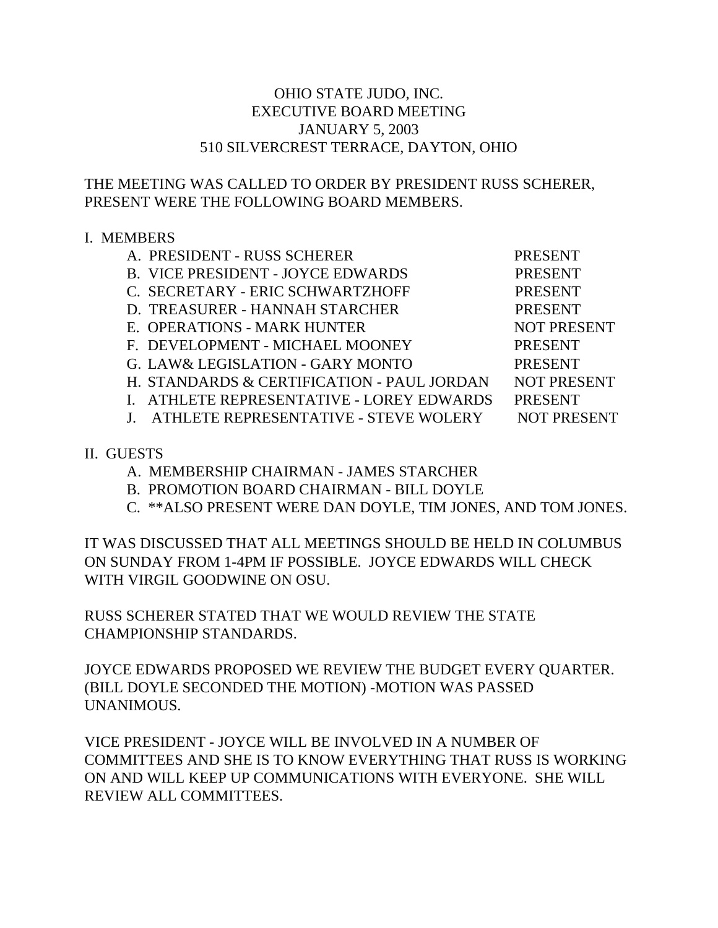## OHIO STATE JUDO, INC. EXECUTIVE BOARD MEETING JANUARY 5, 2003 510 SILVERCREST TERRACE, DAYTON, OHIO

## THE MEETING WAS CALLED TO ORDER BY PRESIDENT RUSS SCHERER, PRESENT WERE THE FOLLOWING BOARD MEMBERS.

## I. MEMBERS

- A. PRESIDENT RUSS SCHERER PRESENT
- B. VICE PRESIDENT JOYCE EDWARDS PRESENT
- C. SECRETARY ERIC SCHWARTZHOFF PRESENT
- D. TREASURER HANNAH STARCHER PRESENT
- E. OPERATIONS MARK HUNTER NOT PRESENT
- F. DEVELOPMENT MICHAEL MOONEY PRESENT
- G. LAW& LEGISLATION GARY MONTO PRESENT
- H. STANDARDS & CERTIFICATION PAUL JORDAN NOT PRESENT
- I. ATHLETE REPRESENTATIVE LOREY EDWARDS PRESENT
- J. ATHLETE REPRESENTATIVE STEVE WOLERY NOT PRESENT

- II. GUESTS
	- A. MEMBERSHIP CHAIRMAN JAMES STARCHER
	- B. PROMOTION BOARD CHAIRMAN BILL DOYLE
	- C. \*\*ALSO PRESENT WERE DAN DOYLE, TIM JONES, AND TOM JONES.

IT WAS DISCUSSED THAT ALL MEETINGS SHOULD BE HELD IN COLUMBUS ON SUNDAY FROM 1-4PM IF POSSIBLE. JOYCE EDWARDS WILL CHECK WITH VIRGIL GOODWINE ON OSU.

RUSS SCHERER STATED THAT WE WOULD REVIEW THE STATE CHAMPIONSHIP STANDARDS.

JOYCE EDWARDS PROPOSED WE REVIEW THE BUDGET EVERY QUARTER. (BILL DOYLE SECONDED THE MOTION) -MOTION WAS PASSED UNANIMOUS.

VICE PRESIDENT - JOYCE WILL BE INVOLVED IN A NUMBER OF COMMITTEES AND SHE IS TO KNOW EVERYTHING THAT RUSS IS WORKING ON AND WILL KEEP UP COMMUNICATIONS WITH EVERYONE. SHE WILL REVIEW ALL COMMITTEES.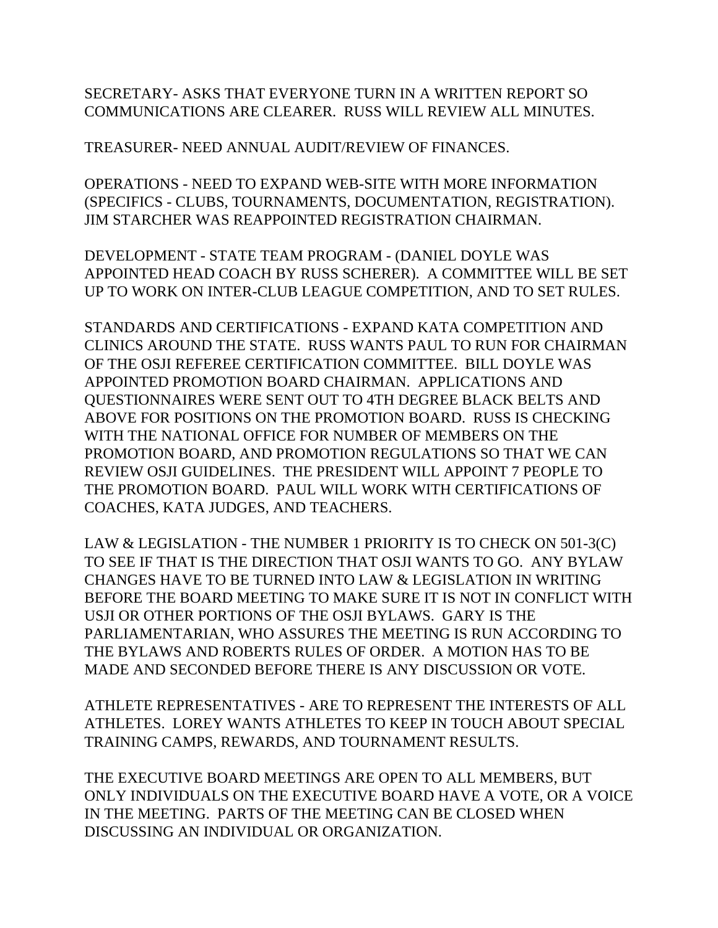SECRETARY- ASKS THAT EVERYONE TURN IN A WRITTEN REPORT SO COMMUNICATIONS ARE CLEARER. RUSS WILL REVIEW ALL MINUTES.

TREASURER- NEED ANNUAL AUDIT/REVIEW OF FINANCES.

OPERATIONS - NEED TO EXPAND WEB-SITE WITH MORE INFORMATION (SPECIFICS - CLUBS, TOURNAMENTS, DOCUMENTATION, REGISTRATION). JIM STARCHER WAS REAPPOINTED REGISTRATION CHAIRMAN.

DEVELOPMENT - STATE TEAM PROGRAM - (DANIEL DOYLE WAS APPOINTED HEAD COACH BY RUSS SCHERER). A COMMITTEE WILL BE SET UP TO WORK ON INTER-CLUB LEAGUE COMPETITION, AND TO SET RULES.

STANDARDS AND CERTIFICATIONS - EXPAND KATA COMPETITION AND CLINICS AROUND THE STATE. RUSS WANTS PAUL TO RUN FOR CHAIRMAN OF THE OSJI REFEREE CERTIFICATION COMMITTEE. BILL DOYLE WAS APPOINTED PROMOTION BOARD CHAIRMAN. APPLICATIONS AND QUESTIONNAIRES WERE SENT OUT TO 4TH DEGREE BLACK BELTS AND ABOVE FOR POSITIONS ON THE PROMOTION BOARD. RUSS IS CHECKING WITH THE NATIONAL OFFICE FOR NUMBER OF MEMBERS ON THE PROMOTION BOARD, AND PROMOTION REGULATIONS SO THAT WE CAN REVIEW OSJI GUIDELINES. THE PRESIDENT WILL APPOINT 7 PEOPLE TO THE PROMOTION BOARD. PAUL WILL WORK WITH CERTIFICATIONS OF COACHES, KATA JUDGES, AND TEACHERS.

LAW & LEGISLATION - THE NUMBER 1 PRIORITY IS TO CHECK ON 501-3(C) TO SEE IF THAT IS THE DIRECTION THAT OSJI WANTS TO GO. ANY BYLAW CHANGES HAVE TO BE TURNED INTO LAW & LEGISLATION IN WRITING BEFORE THE BOARD MEETING TO MAKE SURE IT IS NOT IN CONFLICT WITH USJI OR OTHER PORTIONS OF THE OSJI BYLAWS. GARY IS THE PARLIAMENTARIAN, WHO ASSURES THE MEETING IS RUN ACCORDING TO THE BYLAWS AND ROBERTS RULES OF ORDER. A MOTION HAS TO BE MADE AND SECONDED BEFORE THERE IS ANY DISCUSSION OR VOTE.

ATHLETE REPRESENTATIVES - ARE TO REPRESENT THE INTERESTS OF ALL ATHLETES. LOREY WANTS ATHLETES TO KEEP IN TOUCH ABOUT SPECIAL TRAINING CAMPS, REWARDS, AND TOURNAMENT RESULTS.

THE EXECUTIVE BOARD MEETINGS ARE OPEN TO ALL MEMBERS, BUT ONLY INDIVIDUALS ON THE EXECUTIVE BOARD HAVE A VOTE, OR A VOICE IN THE MEETING. PARTS OF THE MEETING CAN BE CLOSED WHEN DISCUSSING AN INDIVIDUAL OR ORGANIZATION.